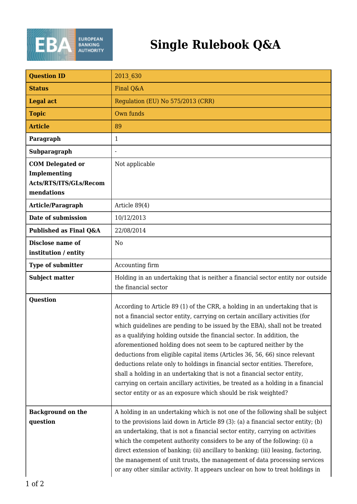

| <b>Question ID</b>                                                                     | 2013 630                                                                                                                                                                                                                                                                                                                                                                                                                                                                                                                                                                                                                                                                                                                                                                                   |
|----------------------------------------------------------------------------------------|--------------------------------------------------------------------------------------------------------------------------------------------------------------------------------------------------------------------------------------------------------------------------------------------------------------------------------------------------------------------------------------------------------------------------------------------------------------------------------------------------------------------------------------------------------------------------------------------------------------------------------------------------------------------------------------------------------------------------------------------------------------------------------------------|
| <b>Status</b>                                                                          | Final Q&A                                                                                                                                                                                                                                                                                                                                                                                                                                                                                                                                                                                                                                                                                                                                                                                  |
| <b>Legal act</b>                                                                       | Regulation (EU) No 575/2013 (CRR)                                                                                                                                                                                                                                                                                                                                                                                                                                                                                                                                                                                                                                                                                                                                                          |
| <b>Topic</b>                                                                           | Own funds                                                                                                                                                                                                                                                                                                                                                                                                                                                                                                                                                                                                                                                                                                                                                                                  |
| <b>Article</b>                                                                         | 89                                                                                                                                                                                                                                                                                                                                                                                                                                                                                                                                                                                                                                                                                                                                                                                         |
| Paragraph                                                                              | 1                                                                                                                                                                                                                                                                                                                                                                                                                                                                                                                                                                                                                                                                                                                                                                                          |
| Subparagraph                                                                           |                                                                                                                                                                                                                                                                                                                                                                                                                                                                                                                                                                                                                                                                                                                                                                                            |
| <b>COM Delegated or</b><br><b>Implementing</b><br>Acts/RTS/ITS/GLs/Recom<br>mendations | Not applicable                                                                                                                                                                                                                                                                                                                                                                                                                                                                                                                                                                                                                                                                                                                                                                             |
| Article/Paragraph                                                                      | Article $89(4)$                                                                                                                                                                                                                                                                                                                                                                                                                                                                                                                                                                                                                                                                                                                                                                            |
| Date of submission                                                                     | 10/12/2013                                                                                                                                                                                                                                                                                                                                                                                                                                                                                                                                                                                                                                                                                                                                                                                 |
| Published as Final Q&A                                                                 | 22/08/2014                                                                                                                                                                                                                                                                                                                                                                                                                                                                                                                                                                                                                                                                                                                                                                                 |
| Disclose name of<br>institution / entity                                               | N <sub>0</sub>                                                                                                                                                                                                                                                                                                                                                                                                                                                                                                                                                                                                                                                                                                                                                                             |
| <b>Type of submitter</b>                                                               | Accounting firm                                                                                                                                                                                                                                                                                                                                                                                                                                                                                                                                                                                                                                                                                                                                                                            |
| <b>Subject matter</b>                                                                  | Holding in an undertaking that is neither a financial sector entity nor outside<br>the financial sector                                                                                                                                                                                                                                                                                                                                                                                                                                                                                                                                                                                                                                                                                    |
| <b>Question</b>                                                                        | According to Article 89 (1) of the CRR, a holding in an undertaking that is<br>not a financial sector entity, carrying on certain ancillary activities (for<br>which guidelines are pending to be issued by the EBA), shall not be treated<br>as a qualifying holding outside the financial sector. In addition, the<br>aforementioned holding does not seem to be captured neither by the<br>deductions from eligible capital items (Articles 36, 56, 66) since relevant<br>deductions relate only to holdings in financial sector entities. Therefore,<br>shall a holding in an undertaking that is not a financial sector entity,<br>carrying on certain ancillary activities, be treated as a holding in a financial<br>sector entity or as an exposure which should be risk weighted? |
| <b>Background on the</b><br>question                                                   | A holding in an undertaking which is not one of the following shall be subject<br>to the provisions laid down in Article 89 (3): (a) a financial sector entity; (b)<br>an undertaking, that is not a financial sector entity, carrying on activities<br>which the competent authority considers to be any of the following: (i) a<br>direct extension of banking; (ii) ancillary to banking; (iii) leasing, factoring,<br>the management of unit trusts, the management of data processing services<br>or any other similar activity. It appears unclear on how to treat holdings in                                                                                                                                                                                                       |